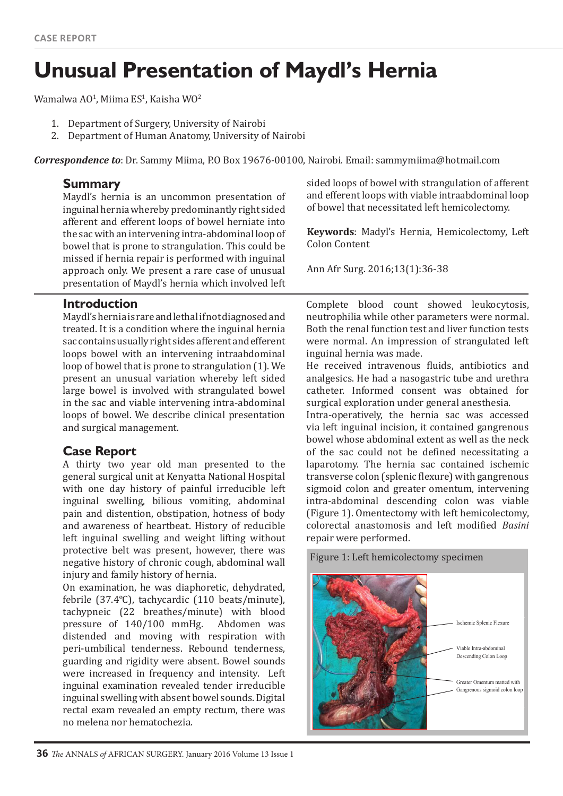# **Unusual Presentation of Maydl's Hernia**

Wamalwa AO<sup>1</sup>, Miima ES<sup>1</sup>, Kaisha WO<sup>2</sup>

- 1. Department of Surgery, University of Nairobi
- 2. Department of Human Anatomy, University of Nairobi

*Correspondence to*: Dr. Sammy Miima, P.O Box 19676-00100, Nairobi. Email: sammymiima@hotmail.com

#### **Summary**

Maydl's hernia is an uncommon presentation of inguinal hernia whereby predominantly right sided afferent and efferent loops of bowel herniate into the sac with an intervening intra-abdominal loop of bowel that is prone to strangulation. This could be missed if hernia repair is performed with inguinal approach only. We present a rare case of unusual presentation of Maydl's hernia which involved left

#### **Introduction**

Maydl's hernia is rare and lethal if not diagnosed and treated. It is a condition where the inguinal hernia sac contains usually right sides afferent and efferent loops bowel with an intervening intraabdominal loop of bowel that is prone to strangulation (1). We present an unusual variation whereby left sided large bowel is involved with strangulated bowel in the sac and viable intervening intra-abdominal loops of bowel. We describe clinical presentation and surgical management.

#### **Case Report**

A thirty two year old man presented to the general surgical unit at Kenyatta National Hospital with one day history of painful irreducible left inguinal swelling, bilious vomiting, abdominal pain and distention, obstipation, hotness of body and awareness of heartbeat. History of reducible left inguinal swelling and weight lifting without protective belt was present, however, there was negative history of chronic cough, abdominal wall injury and family history of hernia.

On examination, he was diaphoretic, dehydrated, febrile (37.4ºC), tachycardic (110 beats/minute), tachypneic (22 breathes/minute) with blood<br>pressure of  $140/100$  mmHg. Abdomen was pressure of  $140/100$  mmHg. distended and moving with respiration with peri-umbilical tenderness. Rebound tenderness, guarding and rigidity were absent. Bowel sounds were increased in frequency and intensity. Left inguinal examination revealed tender irreducible inguinal swelling with absent bowel sounds. Digital rectal exam revealed an empty rectum, there was no melena nor hematochezia.

sided loops of bowel with strangulation of afferent and efferent loops with viable intraabdominal loop of bowel that necessitated left hemicolectomy.

**Keywords**: Madyl's Hernia, Hemicolectomy, Left Colon Content

Ann Afr Surg. 2016;13(1):36-38

Complete blood count showed leukocytosis, neutrophilia while other parameters were normal. Both the renal function test and liver function tests were normal. An impression of strangulated left inguinal hernia was made.

He received intravenous fluids, antibiotics and analgesics. He had a nasogastric tube and urethra catheter. Informed consent was obtained for surgical exploration under general anesthesia.

Intra-operatively, the hernia sac was accessed via left inguinal incision, it contained gangrenous bowel whose abdominal extent as well as the neck of the sac could not be defined necessitating a laparotomy. The hernia sac contained ischemic transverse colon (splenic flexure) with gangrenous sigmoid colon and greater omentum, intervening intra-abdominal descending colon was viable (Figure 1). Omentectomy with left hemicolectomy, colorectal anastomosis and left modified *Basini*  repair were performed.

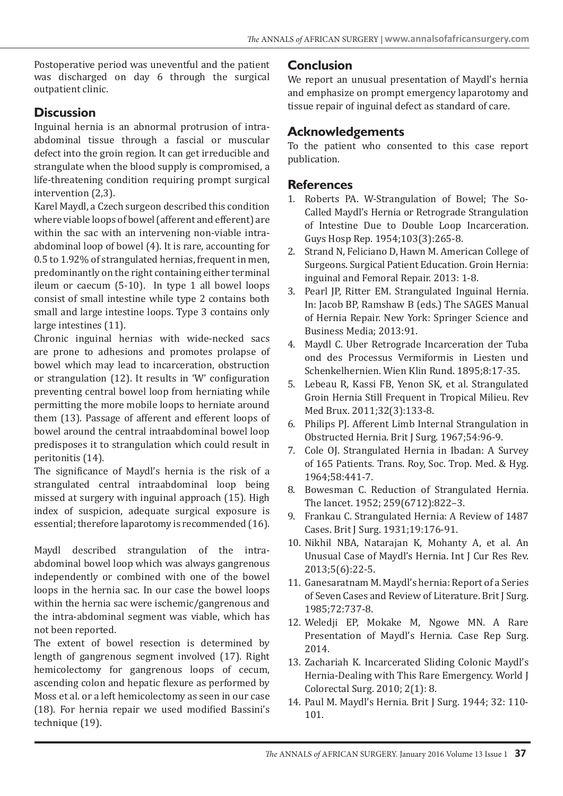Postoperative period was uneventful and the patient was discharged on day 6 through the surgical outpatient clinic.

## **Discussion**

Inguinal hernia is an abnormal protrusion of intraabdominal tissue through a fascial or muscular defect into the groin region. It can get irreducible and strangulate when the blood supply is compromised, a life-threatening condition requiring prompt surgical intervention (2,3).

Karel Maydl, a Czech surgeon described this condition where viable loops of bowel (afferent and efferent) are within the sac with an intervening non-viable intraabdominal loop of bowel (4). It is rare, accounting for 0.5 to 1.92% of strangulated hernias, frequent in men, predominantly on the right containing either terminal ileum or caecum (5-10). In type 1 all bowel loops consist of small intestine while type 2 contains both small and large intestine loops. Type 3 contains only large intestines (11).

Chronic inguinal hernias with wide-necked sacs are prone to adhesions and promotes prolapse of bowel which may lead to incarceration, obstruction or strangulation (12). It results in 'W' configuration preventing central bowel loop from herniating while permitting the more mobile loops to herniate around them (13). Passage of afferent and efferent loops of bowel around the central intraabdominal bowel loop predisposes it to strangulation which could result in peritonitis (14).

The significance of Maydl's hernia is the risk of a strangulated central intraabdominal loop being missed at surgery with inguinal approach (15). High index of suspicion, adequate surgical exposure is essential; therefore laparotomy is recommended (16).

Maydl described strangulation of the intraabdominal bowel loop which was always gangrenous independently or combined with one of the bowel loops in the hernia sac. In our case the bowel loops within the hernia sac were ischemic/gangrenous and the intra-abdominal segment was viable, which has not been reported.

The extent of bowel resection is determined by length of gangrenous segment involved (17). Right hemicolectomy for gangrenous loops of cecum, ascending colon and hepatic flexure as performed by Moss et al. or a left hemicolectomy as seen in our case (18). For hernia repair we used modified Bassini's technique (19).

## **Conclusion**

We report an unusual presentation of Maydl's hernia and emphasize on prompt emergency laparotomy and tissue repair of inguinal defect as standard of care.

## **Acknowledgements**

To the patient who consented to this case report publication.

### **References**

- 1. Roberts PA. W-Strangulation of Bowel; The So-Called Maydl's Hernia or Retrograde Strangulation of Intestine Due to Double Loop Incarceration. Guys Hosp Rep. 1954;103(3):265-8.
- 2. Strand N, Feliciano D, Hawn M. American College of Surgeons. Surgical Patient Education. Groin Hernia: inguinal and Femoral Repair. 2013: 1-8.
- 3. Pearl JP, Ritter EM. Strangulated Inguinal Hernia. In: Jacob BP, Ramshaw B (eds.) The SAGES Manual of Hernia Repair. New York: Springer Science and Business Media; 2013:91.
- 4. Maydl C. Uber Retrograde Incarceration der Tuba ond des Processus Vermiformis in Liesten und Schenkelhernien. Wien Klin Rund. 1895;8:17-35.
- 5. Lebeau R, Kassi FB, Yenon SK, et al. Strangulated Groin Hernia Still Frequent in Tropical Milieu. Rev Med Brux. 2011;32(3):133-8.
- 6. Philips PJ. Afferent Limb Internal Strangulation in Obstructed Hernia. Brit J Surg. 1967;54:96-9.
- 7. Cole OJ. Strangulated Hernia in Ibadan: A Survey of 165 Patients. Trans. Roy, Soc. Trop. Med. & Hyg. 1964;58:441-7.
- 8. Bowesman C. Reduction of Strangulated Hernia. The lancet. 1952; 259(6712):822–3.
- 9. Frankau C. Strangulated Hernia: A Review of 1487 Cases. Brit J Surg. 1931;19:176-91.
- 10. Nikhil NBA, Natarajan K, Mohanty A, et al. An Unusual Case of Maydl's Hernia. Int J Cur Res Rev. 2013;5(6):22-5.
- 11. Ganesaratnam M. Maydl's hernia: Report of a Series of Seven Cases and Review of Literature. Brit J Surg. 1985;72:737-8.
- 12. Weledji EP, Mokake M, Ngowe MN. A Rare Presentation of Maydl's Hernia. Case Rep Surg. 2014.
- 13. Zachariah K. Incarcerated Sliding Colonic Maydl's Hernia-Dealing with This Rare Emergency. World J Colorectal Surg. 2010; 2(1): 8.
- 14. Paul M. Maydl's Hernia. Brit J Surg. 1944; 32: 110- 101.